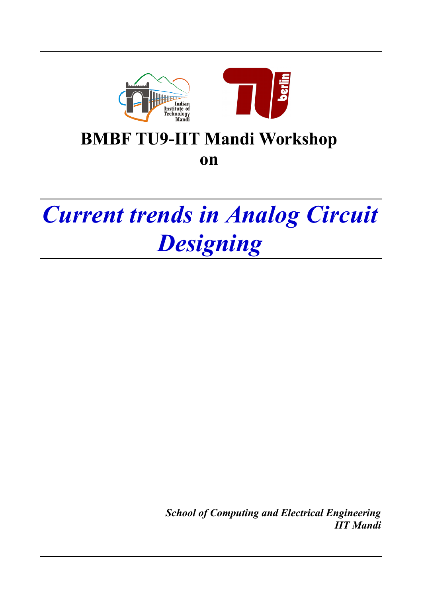



# **BMBF TU9-IIT Mandi Workshop**

**on** 

# *Current trends in Analog Circuit Designing*

*School of Computing and Electrical Engineering IIT Mandi*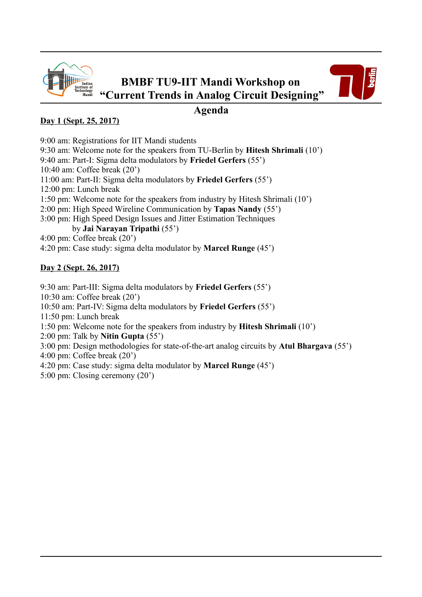



### **Agenda**

#### **Day 1 (Sept. 25, 2017)**

9:00 am: Registrations for IIT Mandi students

9:30 am: Welcome note for the speakers from TU-Berlin by **Hitesh Shrimali** (10')

9:40 am: Part-I: Sigma delta modulators by **Friedel Gerfers** (55')

10:40 am: Coffee break (20')

11:00 am: Part-II: Sigma delta modulators by **Friedel Gerfers** (55')

12:00 pm: Lunch break

1:50 pm: Welcome note for the speakers from industry by Hitesh Shrimali (10')

- 2:00 pm: High Speed Wireline Communication by **Tapas Nandy** (55')
- 3:00 pm: High Speed Design Issues and Jitter Estimation Techniques by **Jai Narayan Tripathi** (55')

4:00 pm: Coffee break (20')

4:20 pm: Case study: sigma delta modulator by **Marcel Runge** (45')

#### **Day 2 (Sept. 26, 2017)**

9:30 am: Part-III: Sigma delta modulators by **Friedel Gerfers** (55') 10:30 am: Coffee break (20')

10:50 am: Part-IV: Sigma delta modulators by **Friedel Gerfers** (55')

11:50 pm: Lunch break

1:50 pm: Welcome note for the speakers from industry by **Hitesh Shrimali** (10')

2:00 pm: Talk by **Nitin Gupta** (55')

3:00 pm: Design methodologies for state-of-the-art analog circuits by **Atul Bhargava** (55')

4:00 pm: Coffee break (20')

- 4:20 pm: Case study: sigma delta modulator by **Marcel Runge** (45')
- 5:00 pm: Closing ceremony (20')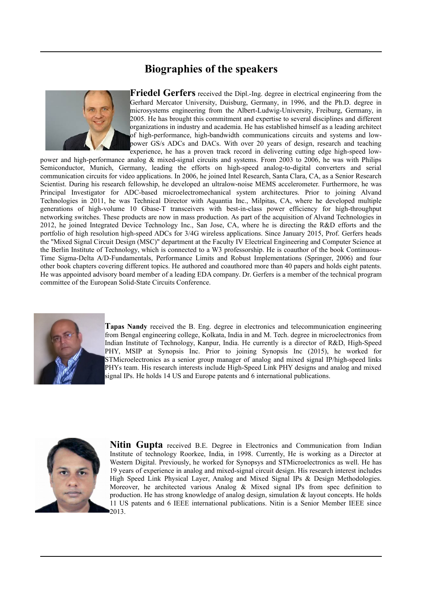## **Biographies of the speakers**



**Friedel Gerfers** received the Dipl.-Ing. degree in electrical engineering from the Gerhard Mercator University, Duisburg, Germany, in 1996, and the Ph.D. degree in microsystems engineering from the Albert-Ludwig-University, Freiburg, Germany, in 2005. He has brought this commitment and expertise to several disciplines and different organizations in industry and academia. He has established himself as a leading architect of high-performance, high-bandwidth communications circuits and systems and lowpower GS/s ADCs and DACs. With over 20 years of design, research and teaching experience, he has a proven track record in delivering cutting edge high-speed low-

power and high-performance analog & mixed-signal circuits and systems. From 2003 to 2006, he was with Philips Semiconductor, Munich, Germany, leading the efforts on high-speed analog-to-digital converters and serial communication circuits for video applications. In 2006, he joined Intel Research, Santa Clara, CA, as a Senior Research Scientist. During his research fellowship, he developed an ultralow-noise MEMS accelerometer. Furthermore, he was Principal Investigator for ADC-based microelectromechanical system architectures. Prior to joining Alvand Technologies in 2011, he was Technical Director with Aquantia Inc., Milpitas, CA, where he developed multiple generations of high-volume 10 Gbase-T transceivers with best-in-class power efficiency for high-throughput networking switches. These products are now in mass production. As part of the acquisition of Alvand Technologies in 2012, he joined Integrated Device Technology Inc., San Jose, CA, where he is directing the R&D efforts and the portfolio of high resolution high-speed ADCs for 3/4G wireless applications. Since January 2015, Prof. Gerfers heads the "Mixed Signal Circuit Design (MSC)" department at the Faculty IV Electrical Engineering and Computer Science at the Berlin Institute of Technology, which is connected to a W3 professorship. He is coauthor of the book Continuous-Time Sigma-Delta A/D-Fundamentals, Performance Limits and Robust Implementations (Springer, 2006) and four other book chapters covering different topics. He authored and coauthored more than 40 papers and holds eight patents. He was appointed advisory board member of a leading EDA company. Dr. Gerfers is a member of the technical program committee of the European Solid-State Circuits Conference.



**Tapas Nandy** received the B. Eng. degree in electronics and telecommunication engineering from Bengal engineering college, Kolkata, India in and M. Tech. degree in microelectronics from Indian Institute of Technology, Kanpur, India. He currently is a director of R&D, High-Speed PHY, MSIP at Synopsis Inc. Prior to joining Synopsis Inc (2015), he worked for STMicroelectronics as a senior group manager of analog and mixed signal IP/high-speed links PHYs team. His research interests include High-Speed Link PHY designs and analog and mixed signal IPs. He holds 14 US and Europe patents and 6 international publications.



**Nitin Gupta** received B.E. Degree in Electronics and Communication from Indian Institute of technology Roorkee, India, in 1998. Currently, He is working as a Director at Western Digital. Previously, he worked for Synopsys and STMicroelectronics as well. He has 19 years of experience in analog and mixed-signal circuit design. His research interest includes High Speed Link Physical Layer, Analog and Mixed Signal IPs & Design Methodologies. Moreover, he architected various Analog & Mixed signal IPs from spec definition to production. He has strong knowledge of analog design, simulation  $\&$  layout concepts. He holds 11 US patents and 6 IEEE international publications. Nitin is a Senior Member IEEE since 2013.